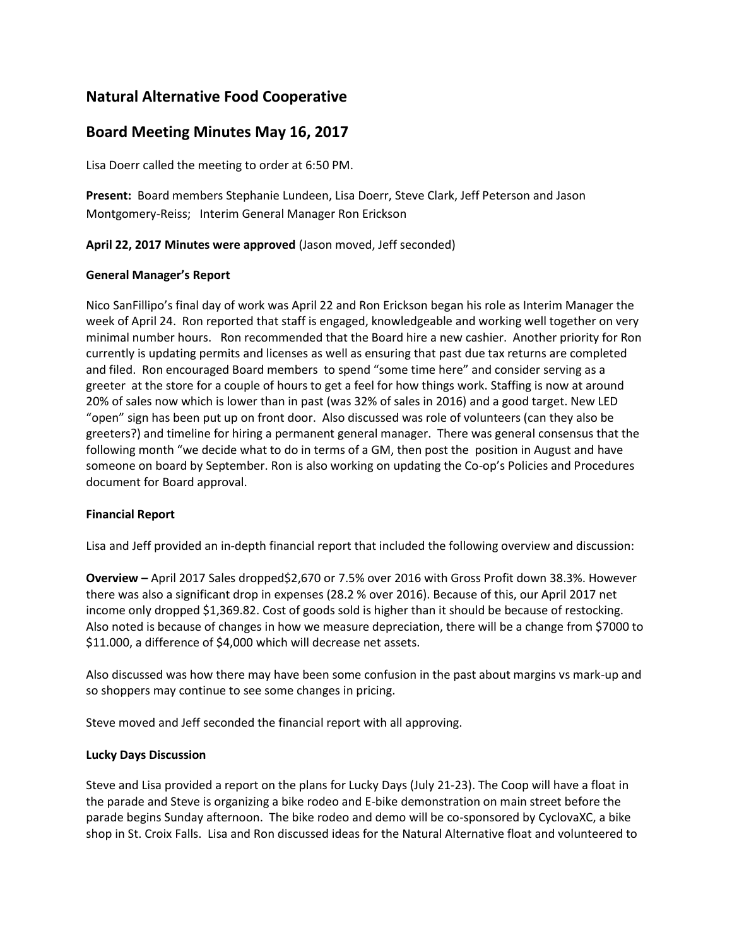# **Natural Alternative Food Cooperative**

# **Board Meeting Minutes May 16, 2017**

Lisa Doerr called the meeting to order at 6:50 PM.

**Present:** Board members Stephanie Lundeen, Lisa Doerr, Steve Clark, Jeff Peterson and Jason Montgomery-Reiss; Interim General Manager Ron Erickson

## **April 22, 2017 Minutes were approved** (Jason moved, Jeff seconded)

## **General Manager's Report**

Nico SanFillipo's final day of work was April 22 and Ron Erickson began his role as Interim Manager the week of April 24. Ron reported that staff is engaged, knowledgeable and working well together on very minimal number hours. Ron recommended that the Board hire a new cashier. Another priority for Ron currently is updating permits and licenses as well as ensuring that past due tax returns are completed and filed. Ron encouraged Board members to spend "some time here" and consider serving as a greeter at the store for a couple of hours to get a feel for how things work. Staffing is now at around 20% of sales now which is lower than in past (was 32% of sales in 2016) and a good target. New LED "open" sign has been put up on front door. Also discussed was role of volunteers (can they also be greeters?) and timeline for hiring a permanent general manager. There was general consensus that the following month "we decide what to do in terms of a GM, then post the position in August and have someone on board by September. Ron is also working on updating the Co-op's Policies and Procedures document for Board approval.

### **Financial Report**

Lisa and Jeff provided an in-depth financial report that included the following overview and discussion:

**Overview –** April 2017 Sales dropped\$2,670 or 7.5% over 2016 with Gross Profit down 38.3%. However there was also a significant drop in expenses (28.2 % over 2016). Because of this, our April 2017 net income only dropped \$1,369.82. Cost of goods sold is higher than it should be because of restocking. Also noted is because of changes in how we measure depreciation, there will be a change from \$7000 to \$11.000, a difference of \$4,000 which will decrease net assets.

Also discussed was how there may have been some confusion in the past about margins vs mark-up and so shoppers may continue to see some changes in pricing.

Steve moved and Jeff seconded the financial report with all approving.

### **Lucky Days Discussion**

Steve and Lisa provided a report on the plans for Lucky Days (July 21-23). The Coop will have a float in the parade and Steve is organizing a bike rodeo and E-bike demonstration on main street before the parade begins Sunday afternoon. The bike rodeo and demo will be co-sponsored by CyclovaXC, a bike shop in St. Croix Falls. Lisa and Ron discussed ideas for the Natural Alternative float and volunteered to